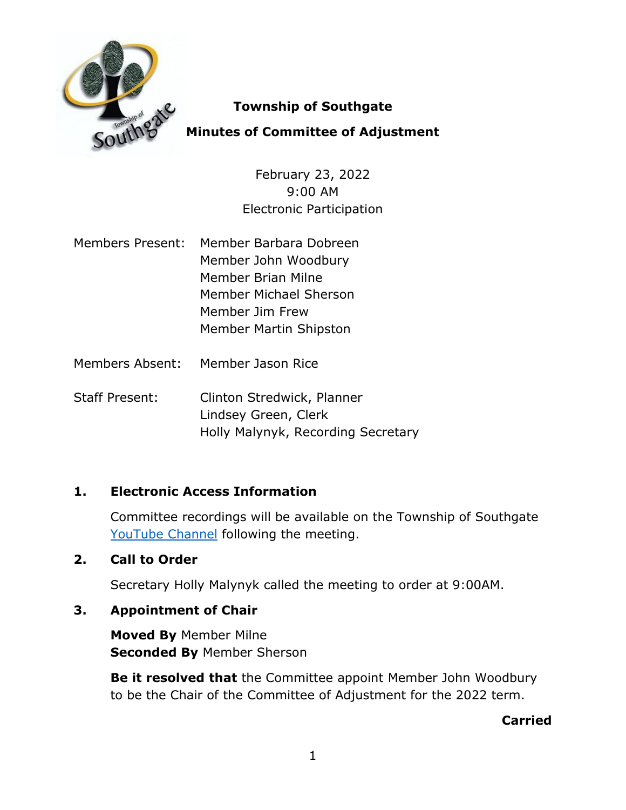

## **Township of Southgate**

# **Minutes of Committee of Adjustment**

February 23, 2022 9:00 AM Electronic Participation

- Members Present: Member Barbara Dobreen Member John Woodbury Member Brian Milne Member Michael Sherson Member Jim Frew Member Martin Shipston
- Members Absent: Member Jason Rice

Staff Present: Clinton Stredwick, Planner Lindsey Green, Clerk Holly Malynyk, Recording Secretary

## **1. Electronic Access Information**

Committee recordings will be available on the Township of Southgate [YouTube Channel](https://www.youtube.com/user/SouthgateTownship) following the meeting.

## **2. Call to Order**

Secretary Holly Malynyk called the meeting to order at 9:00AM.

# **3. Appointment of Chair**

**Moved By** Member Milne **Seconded By** Member Sherson

**Be it resolved that** the Committee appoint Member John Woodbury to be the Chair of the Committee of Adjustment for the 2022 term.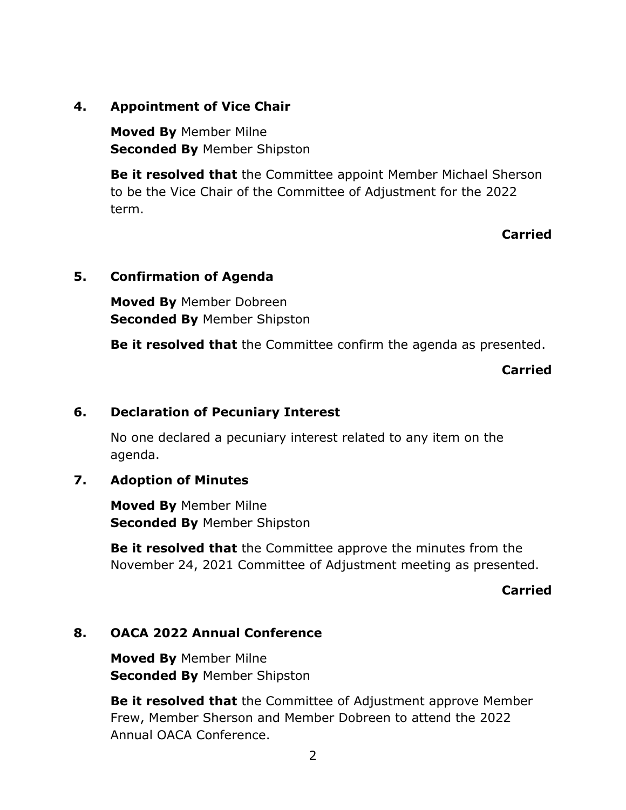### **4. Appointment of Vice Chair**

**Moved By** Member Milne **Seconded By** Member Shipston

**Be it resolved that** the Committee appoint Member Michael Sherson to be the Vice Chair of the Committee of Adjustment for the 2022 term.

**Carried**

### **5. Confirmation of Agenda**

**Moved By** Member Dobreen **Seconded By** Member Shipston

**Be it resolved that** the Committee confirm the agenda as presented.

**Carried**

### **6. Declaration of Pecuniary Interest**

No one declared a pecuniary interest related to any item on the agenda.

## **7. Adoption of Minutes**

**Moved By** Member Milne **Seconded By** Member Shipston

**Be it resolved that** the Committee approve the minutes from the November 24, 2021 Committee of Adjustment meeting as presented.

#### **Carried**

#### **8. OACA 2022 Annual Conference**

**Moved By** Member Milne **Seconded By** Member Shipston

**Be it resolved that** the Committee of Adjustment approve Member Frew, Member Sherson and Member Dobreen to attend the 2022 Annual OACA Conference.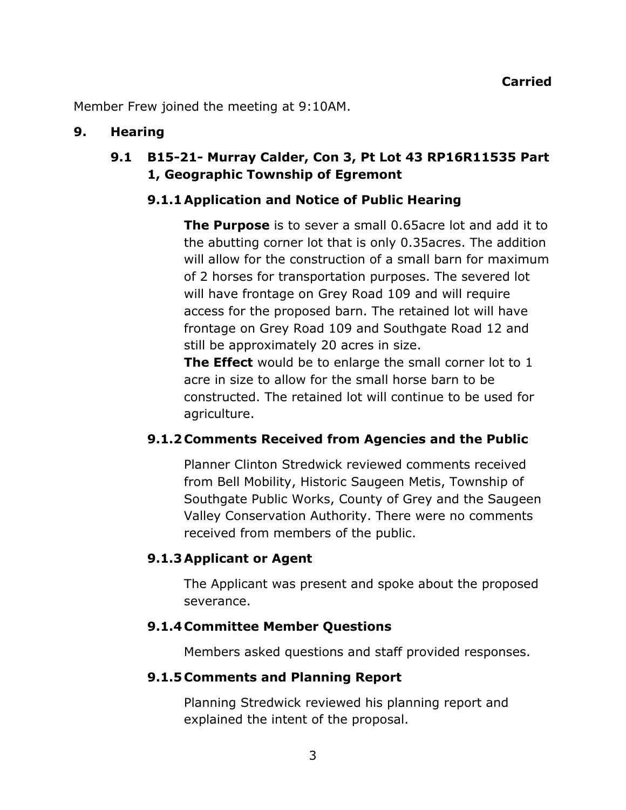Member Frew joined the meeting at 9:10AM.

#### **9. Hearing**

## **9.1 B15-21- Murray Calder, Con 3, Pt Lot 43 RP16R11535 Part 1, Geographic Township of Egremont**

#### **9.1.1Application and Notice of Public Hearing**

**The Purpose** is to sever a small 0.65acre lot and add it to the abutting corner lot that is only 0.35acres. The addition will allow for the construction of a small barn for maximum of 2 horses for transportation purposes. The severed lot will have frontage on Grey Road 109 and will require access for the proposed barn. The retained lot will have frontage on Grey Road 109 and Southgate Road 12 and still be approximately 20 acres in size.

**The Effect** would be to enlarge the small corner lot to 1 acre in size to allow for the small horse barn to be constructed. The retained lot will continue to be used for agriculture.

#### **9.1.2 Comments Received from Agencies and the Public**

Planner Clinton Stredwick reviewed comments received from Bell Mobility, Historic Saugeen Metis, Township of Southgate Public Works, County of Grey and the Saugeen Valley Conservation Authority. There were no comments received from members of the public.

#### **9.1.3Applicant or Agent**

The Applicant was present and spoke about the proposed severance.

#### **9.1.4 Committee Member Questions**

Members asked questions and staff provided responses.

#### **9.1.5 Comments and Planning Report**

Planning Stredwick reviewed his planning report and explained the intent of the proposal.